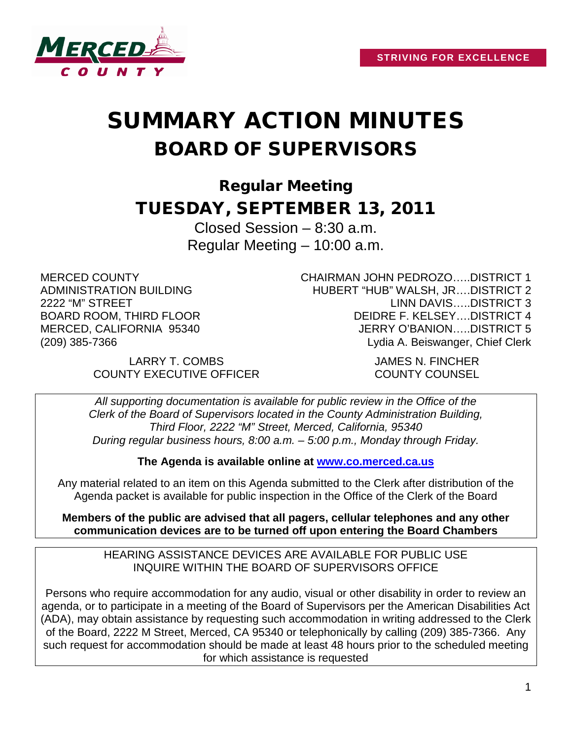

# SUMMARY ACTION MINUTES BOARD OF SUPERVISORS

Regular Meeting TUESDAY, SEPTEMBER 13, 2011

> Closed Session – 8:30 a.m. Regular Meeting – 10:00 a.m.

MERCED COUNTY ADMINISTRATION BUILDING 2222 "M" STREET BOARD ROOM, THIRD FLOOR MERCED, CALIFORNIA 95340 (209) 385-7366

CHAIRMAN JOHN PEDROZO…..DISTRICT 1 HUBERT "HUB" WALSH, JR….DISTRICT 2 LINN DAVIS…..DISTRICT 3 DEIDRE F. KELSEY….DISTRICT 4 JERRY O'BANION…..DISTRICT 5 Lydia A. Beiswanger, Chief Clerk

LARRY T. COMBS JAMES N. FINCHER COUNTY EXECUTIVE OFFICER COUNTY COUNSEL

*All supporting documentation is available for public review in the Office of the Clerk of the Board of Supervisors located in the County Administration Building, Third Floor, 2222 "M" Street, Merced, California, 95340 During regular business hours, 8:00 a.m. – 5:00 p.m., Monday through Friday.*

**The Agenda is available online at [www.co.merced.ca.us](http://www.co.merced.ca.us/)**

Any material related to an item on this Agenda submitted to the Clerk after distribution of the Agenda packet is available for public inspection in the Office of the Clerk of the Board

**Members of the public are advised that all pagers, cellular telephones and any other communication devices are to be turned off upon entering the Board Chambers**

HEARING ASSISTANCE DEVICES ARE AVAILABLE FOR PUBLIC USE INQUIRE WITHIN THE BOARD OF SUPERVISORS OFFICE

Persons who require accommodation for any audio, visual or other disability in order to review an agenda, or to participate in a meeting of the Board of Supervisors per the American Disabilities Act (ADA), may obtain assistance by requesting such accommodation in writing addressed to the Clerk of the Board, 2222 M Street, Merced, CA 95340 or telephonically by calling (209) 385-7366. Any such request for accommodation should be made at least 48 hours prior to the scheduled meeting for which assistance is requested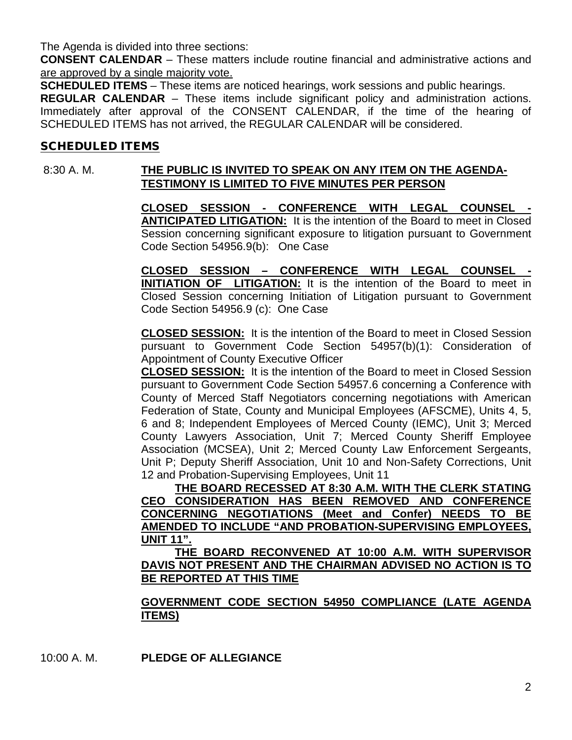The Agenda is divided into three sections:

**CONSENT CALENDAR** – These matters include routine financial and administrative actions and are approved by a single majority vote.

**SCHEDULED ITEMS** – These items are noticed hearings, work sessions and public hearings.

**REGULAR CALENDAR** – These items include significant policy and administration actions. Immediately after approval of the CONSENT CALENDAR, if the time of the hearing of SCHEDULED ITEMS has not arrived, the REGULAR CALENDAR will be considered.

#### SCHEDULED ITEMS

# 8:30 A. M. **THE PUBLIC IS INVITED TO SPEAK ON ANY ITEM ON THE AGENDA-TESTIMONY IS LIMITED TO FIVE MINUTES PER PERSON**

**CLOSED SESSION - CONFERENCE WITH LEGAL COUNSEL - ANTICIPATED LITIGATION:** It is the intention of the Board to meet in Closed Session concerning significant exposure to litigation pursuant to Government Code Section 54956.9(b): One Case

**CLOSED SESSION – CONFERENCE WITH LEGAL COUNSEL - INITIATION OF LITIGATION:** It is the intention of the Board to meet in Closed Session concerning Initiation of Litigation pursuant to Government Code Section 54956.9 (c): One Case

**CLOSED SESSION:** It is the intention of the Board to meet in Closed Session pursuant to Government Code Section 54957(b)(1): Consideration of Appointment of County Executive Officer

**CLOSED SESSION:** It is the intention of the Board to meet in Closed Session pursuant to Government Code Section 54957.6 concerning a Conference with County of Merced Staff Negotiators concerning negotiations with American Federation of State, County and Municipal Employees (AFSCME), Units 4, 5, 6 and 8; Independent Employees of Merced County (IEMC), Unit 3; Merced County Lawyers Association, Unit 7; Merced County Sheriff Employee Association (MCSEA), Unit 2; Merced County Law Enforcement Sergeants, Unit P; Deputy Sheriff Association, Unit 10 and Non-Safety Corrections, Unit 12 and Probation-Supervising Employees, Unit 11

**THE BOARD RECESSED AT 8:30 A.M. WITH THE CLERK STATING CEO CONSIDERATION HAS BEEN REMOVED AND CONFERENCE CONCERNING NEGOTIATIONS (Meet and Confer) NEEDS TO BE AMENDED TO INCLUDE "AND PROBATION-SUPERVISING EMPLOYEES, UNIT 11".**

**THE BOARD RECONVENED AT 10:00 A.M. WITH SUPERVISOR DAVIS NOT PRESENT AND THE CHAIRMAN ADVISED NO ACTION IS TO BE REPORTED AT THIS TIME**

**GOVERNMENT CODE SECTION 54950 COMPLIANCE (LATE AGENDA ITEMS**)

10:00 A. M. **PLEDGE OF ALLEGIANCE**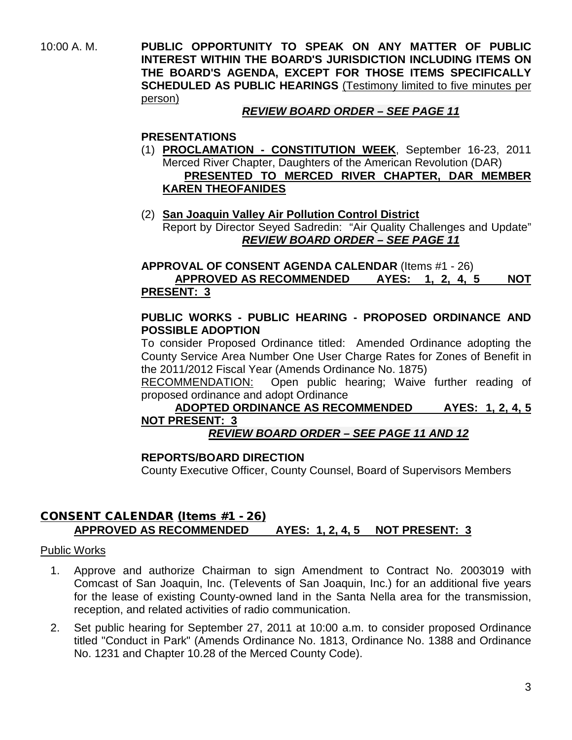10:00 A. M. **PUBLIC OPPORTUNITY TO SPEAK ON ANY MATTER OF PUBLIC INTEREST WITHIN THE BOARD'S JURISDICTION INCLUDING ITEMS ON THE BOARD'S AGENDA, EXCEPT FOR THOSE ITEMS SPECIFICALLY SCHEDULED AS PUBLIC HEARINGS** (Testimony limited to five minutes per person)

# *REVIEW BOARD ORDER – SEE PAGE 11*

# **PRESENTATIONS**

- (1) **PROCLAMATION - CONSTITUTION WEEK**, September 16-23, 2011 Merced River Chapter, Daughters of the American Revolution (DAR)  **PRESENTED TO MERCED RIVER CHAPTER, DAR MEMBER KAREN THEOFANIDES**
- (2) **San Joaquin Valley Air Pollution Control District** Report by Director Seyed Sadredin: "Air Quality Challenges and Update" *REVIEW BOARD ORDER – SEE PAGE 11*

#### **APPROVAL OF CONSENT AGENDA CALENDAR** (Items #1 - 26) **APPROVED AS RECOMMENDED AYES: 1, 2, 4, 5 NOT PRESENT: 3**

#### **PUBLIC WORKS - PUBLIC HEARING - PROPOSED ORDINANCE AND POSSIBLE ADOPTION**

To consider Proposed Ordinance titled: Amended Ordinance adopting the County Service Area Number One User Charge Rates for Zones of Benefit in the 2011/2012 Fiscal Year (Amends Ordinance No. 1875)

RECOMMENDATION: Open public hearing; Waive further reading of proposed ordinance and adopt Ordinance

# **ADOPTED ORDINANCE AS RECOMMENDED AYES: 1, 2, 4, 5 NOT PRESENT: 3**

# *REVIEW BOARD ORDER – SEE PAGE 11 AND 12*

# **REPORTS/BOARD DIRECTION**

County Executive Officer, County Counsel, Board of Supervisors Members

# CONSENT CALENDAR (Items #1 - 26) **APPROVED AS RECOMMENDED AYES: 1, 2, 4, 5 NOT PRESENT: 3**

#### Public Works

- 1. Approve and authorize Chairman to sign Amendment to Contract No. 2003019 with Comcast of San Joaquin, Inc. (Televents of San Joaquin, Inc.) for an additional five years for the lease of existing County-owned land in the Santa Nella area for the transmission, reception, and related activities of radio communication.
- 2. Set public hearing for September 27, 2011 at 10:00 a.m. to consider proposed Ordinance titled "Conduct in Park" (Amends Ordinance No. 1813, Ordinance No. 1388 and Ordinance No. 1231 and Chapter 10.28 of the Merced County Code).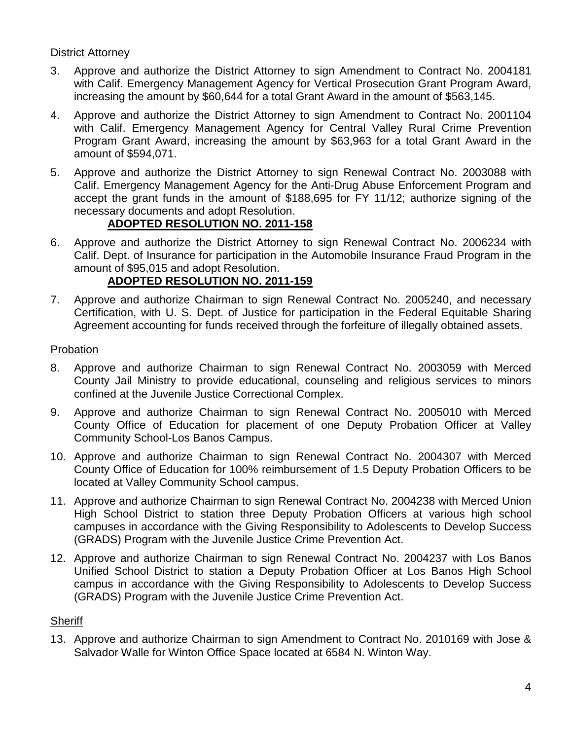### District Attorney

- 3. Approve and authorize the District Attorney to sign Amendment to Contract No. 2004181 with Calif. Emergency Management Agency for Vertical Prosecution Grant Program Award, increasing the amount by \$60,644 for a total Grant Award in the amount of \$563,145.
- 4. Approve and authorize the District Attorney to sign Amendment to Contract No. 2001104 with Calif. Emergency Management Agency for Central Valley Rural Crime Prevention Program Grant Award, increasing the amount by \$63,963 for a total Grant Award in the amount of \$594,071.
- 5. Approve and authorize the District Attorney to sign Renewal Contract No. 2003088 with Calif. Emergency Management Agency for the Anti-Drug Abuse Enforcement Program and accept the grant funds in the amount of \$188,695 for FY 11/12; authorize signing of the necessary documents and adopt Resolution.

# **ADOPTED RESOLUTION NO. 2011-158**

6. Approve and authorize the District Attorney to sign Renewal Contract No. 2006234 with Calif. Dept. of Insurance for participation in the Automobile Insurance Fraud Program in the amount of \$95,015 and adopt Resolution.

# **ADOPTED RESOLUTION NO. 2011-159**

7. Approve and authorize Chairman to sign Renewal Contract No. 2005240, and necessary Certification, with U. S. Dept. of Justice for participation in the Federal Equitable Sharing Agreement accounting for funds received through the forfeiture of illegally obtained assets.

#### Probation

- 8. Approve and authorize Chairman to sign Renewal Contract No. 2003059 with Merced County Jail Ministry to provide educational, counseling and religious services to minors confined at the Juvenile Justice Correctional Complex.
- 9. Approve and authorize Chairman to sign Renewal Contract No. 2005010 with Merced County Office of Education for placement of one Deputy Probation Officer at Valley Community School-Los Banos Campus.
- 10. Approve and authorize Chairman to sign Renewal Contract No. 2004307 with Merced County Office of Education for 100% reimbursement of 1.5 Deputy Probation Officers to be located at Valley Community School campus.
- 11. Approve and authorize Chairman to sign Renewal Contract No. 2004238 with Merced Union High School District to station three Deputy Probation Officers at various high school campuses in accordance with the Giving Responsibility to Adolescents to Develop Success (GRADS) Program with the Juvenile Justice Crime Prevention Act.
- 12. Approve and authorize Chairman to sign Renewal Contract No. 2004237 with Los Banos Unified School District to station a Deputy Probation Officer at Los Banos High School campus in accordance with the Giving Responsibility to Adolescents to Develop Success (GRADS) Program with the Juvenile Justice Crime Prevention Act.

# **Sheriff**

13. Approve and authorize Chairman to sign Amendment to Contract No. 2010169 with Jose & Salvador Walle for Winton Office Space located at 6584 N. Winton Way.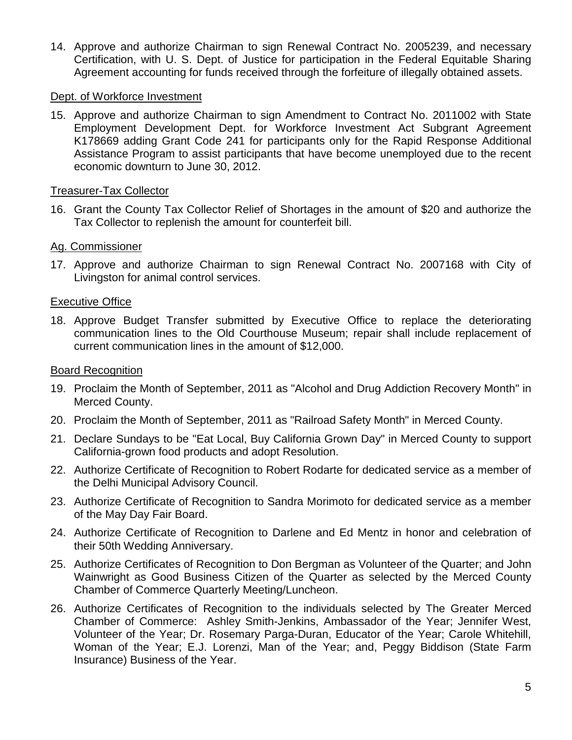14. Approve and authorize Chairman to sign Renewal Contract No. 2005239, and necessary Certification, with U. S. Dept. of Justice for participation in the Federal Equitable Sharing Agreement accounting for funds received through the forfeiture of illegally obtained assets.

#### Dept. of Workforce Investment

15. Approve and authorize Chairman to sign Amendment to Contract No. 2011002 with State Employment Development Dept. for Workforce Investment Act Subgrant Agreement K178669 adding Grant Code 241 for participants only for the Rapid Response Additional Assistance Program to assist participants that have become unemployed due to the recent economic downturn to June 30, 2012.

#### Treasurer-Tax Collector

16. Grant the County Tax Collector Relief of Shortages in the amount of \$20 and authorize the Tax Collector to replenish the amount for counterfeit bill.

#### Ag. Commissioner

17. Approve and authorize Chairman to sign Renewal Contract No. 2007168 with City of Livingston for animal control services.

#### Executive Office

18. Approve Budget Transfer submitted by Executive Office to replace the deteriorating communication lines to the Old Courthouse Museum; repair shall include replacement of current communication lines in the amount of \$12,000.

#### Board Recognition

- 19. Proclaim the Month of September, 2011 as "Alcohol and Drug Addiction Recovery Month" in Merced County.
- 20. Proclaim the Month of September, 2011 as "Railroad Safety Month" in Merced County.
- 21. Declare Sundays to be "Eat Local, Buy California Grown Day" in Merced County to support California-grown food products and adopt Resolution.
- 22. Authorize Certificate of Recognition to Robert Rodarte for dedicated service as a member of the Delhi Municipal Advisory Council.
- 23. Authorize Certificate of Recognition to Sandra Morimoto for dedicated service as a member of the May Day Fair Board.
- 24. Authorize Certificate of Recognition to Darlene and Ed Mentz in honor and celebration of their 50th Wedding Anniversary.
- 25. Authorize Certificates of Recognition to Don Bergman as Volunteer of the Quarter; and John Wainwright as Good Business Citizen of the Quarter as selected by the Merced County Chamber of Commerce Quarterly Meeting/Luncheon.
- 26. Authorize Certificates of Recognition to the individuals selected by The Greater Merced Chamber of Commerce: Ashley Smith-Jenkins, Ambassador of the Year; Jennifer West, Volunteer of the Year; Dr. Rosemary Parga-Duran, Educator of the Year; Carole Whitehill, Woman of the Year; E.J. Lorenzi, Man of the Year; and, Peggy Biddison (State Farm Insurance) Business of the Year.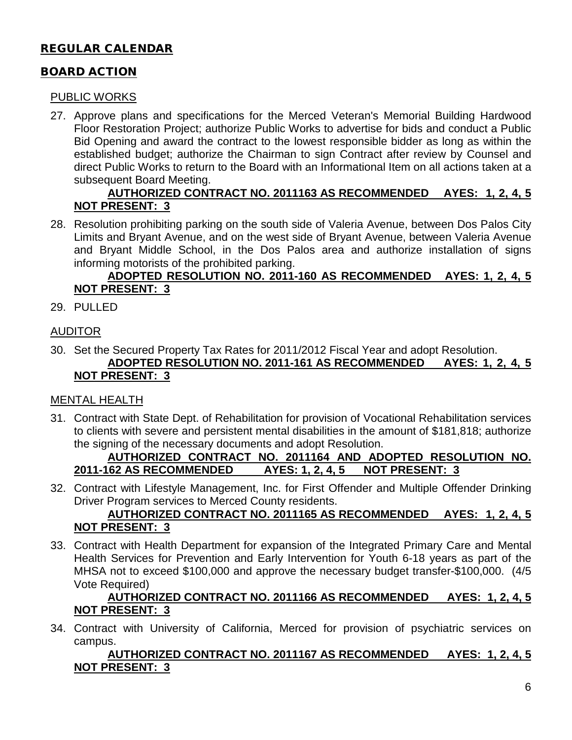# REGULAR CALENDAR

# BOARD ACTION

#### PUBLIC WORKS

27. Approve plans and specifications for the Merced Veteran's Memorial Building Hardwood Floor Restoration Project; authorize Public Works to advertise for bids and conduct a Public Bid Opening and award the contract to the lowest responsible bidder as long as within the established budget; authorize the Chairman to sign Contract after review by Counsel and direct Public Works to return to the Board with an Informational Item on all actions taken at a subsequent Board Meeting.

# **AUTHORIZED CONTRACT NO. 2011163 AS RECOMMENDED AYES: 1, 2, 4, 5 NOT PRESENT: 3**

28. Resolution prohibiting parking on the south side of Valeria Avenue, between Dos Palos City Limits and Bryant Avenue, and on the west side of Bryant Avenue, between Valeria Avenue and Bryant Middle School, in the Dos Palos area and authorize installation of signs informing motorists of the prohibited parking.

### **ADOPTED RESOLUTION NO. 2011-160 AS RECOMMENDED AYES: 1, 2, 4, 5 NOT PRESENT: 3**

29. PULLED

# AUDITOR

30. Set the Secured Property Tax Rates for 2011/2012 Fiscal Year and adopt Resolution. **ADOPTED RESOLUTION NO. 2011-161 AS RECOMMENDED AYES: 1, 2, 4, 5 NOT PRESENT: 3**

# MENTAL HEALTH

31. Contract with State Dept. of Rehabilitation for provision of Vocational Rehabilitation services to clients with severe and persistent mental disabilities in the amount of \$181,818; authorize the signing of the necessary documents and adopt Resolution.

#### **AUTHORIZED CONTRACT NO. 2011164 AND ADOPTED RESOLUTION NO. 2011-162 AS RECOMMENDED AYES: 1, 2, 4, 5 NOT PRESENT: 3**

32. Contract with Lifestyle Management, Inc. for First Offender and Multiple Offender Drinking Driver Program services to Merced County residents.

# **AUTHORIZED CONTRACT NO. 2011165 AS RECOMMENDED AYES: 1, 2, 4, 5 NOT PRESENT: 3**

33. Contract with Health Department for expansion of the Integrated Primary Care and Mental Health Services for Prevention and Early Intervention for Youth 6-18 years as part of the MHSA not to exceed \$100,000 and approve the necessary budget transfer-\$100,000. (4/5 Vote Required)

# **AUTHORIZED CONTRACT NO. 2011166 AS RECOMMENDED AYES: 1, 2, 4, 5 NOT PRESENT: 3**

34. Contract with University of California, Merced for provision of psychiatric services on campus.

#### **AUTHORIZED CONTRACT NO. 2011167 AS RECOMMENDED AYES: 1, 2, 4, 5 NOT PRESENT: 3**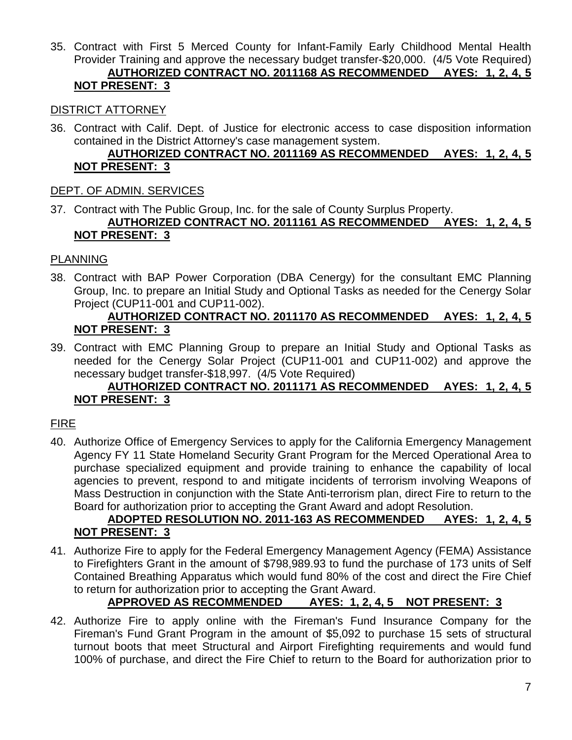35. Contract with First 5 Merced County for Infant-Family Early Childhood Mental Health Provider Training and approve the necessary budget transfer-\$20,000. (4/5 Vote Required) **AUTHORIZED CONTRACT NO. 2011168 AS RECOMMENDED AYES: 1, 2, 4, 5 NOT PRESENT: 3**

#### DISTRICT ATTORNEY

36. Contract with Calif. Dept. of Justice for electronic access to case disposition information contained in the District Attorney's case management system.

# **AUTHORIZED CONTRACT NO. 2011169 AS RECOMMENDED AYES: 1, 2, 4, 5 NOT PRESENT: 3**

#### DEPT. OF ADMIN. SERVICES

37. Contract with The Public Group, Inc. for the sale of County Surplus Property. **AUTHORIZED CONTRACT NO. 2011161 AS RECOMMENDED AYES: 1, 2, 4, 5 NOT PRESENT: 3**

#### PLANNING

38. Contract with BAP Power Corporation (DBA Cenergy) for the consultant EMC Planning Group, Inc. to prepare an Initial Study and Optional Tasks as needed for the Cenergy Solar Project (CUP11-001 and CUP11-002).

# **AUTHORIZED CONTRACT NO. 2011170 AS RECOMMENDED AYES: 1, 2, 4, 5 NOT PRESENT: 3**

39. Contract with EMC Planning Group to prepare an Initial Study and Optional Tasks as needed for the Cenergy Solar Project (CUP11-001 and CUP11-002) and approve the necessary budget transfer-\$18,997. (4/5 Vote Required)

# **AUTHORIZED CONTRACT NO. 2011171 AS RECOMMENDED AYES: 1, 2, 4, 5 NOT PRESENT: 3**

# FIRE

40. Authorize Office of Emergency Services to apply for the California Emergency Management Agency FY 11 State Homeland Security Grant Program for the Merced Operational Area to purchase specialized equipment and provide training to enhance the capability of local agencies to prevent, respond to and mitigate incidents of terrorism involving Weapons of Mass Destruction in conjunction with the State Anti-terrorism plan, direct Fire to return to the Board for authorization prior to accepting the Grant Award and adopt Resolution.

# **ADOPTED RESOLUTION NO. 2011-163 AS RECOMMENDED AYES: 1, 2, 4, 5 NOT PRESENT: 3**

41. Authorize Fire to apply for the Federal Emergency Management Agency (FEMA) Assistance to Firefighters Grant in the amount of \$798,989.93 to fund the purchase of 173 units of Self Contained Breathing Apparatus which would fund 80% of the cost and direct the Fire Chief to return for authorization prior to accepting the Grant Award.

# **APPROVED AS RECOMMENDED AYES: 1, 2, 4, 5 NOT PRESENT: 3**

42. Authorize Fire to apply online with the Fireman's Fund Insurance Company for the Fireman's Fund Grant Program in the amount of \$5,092 to purchase 15 sets of structural turnout boots that meet Structural and Airport Firefighting requirements and would fund 100% of purchase, and direct the Fire Chief to return to the Board for authorization prior to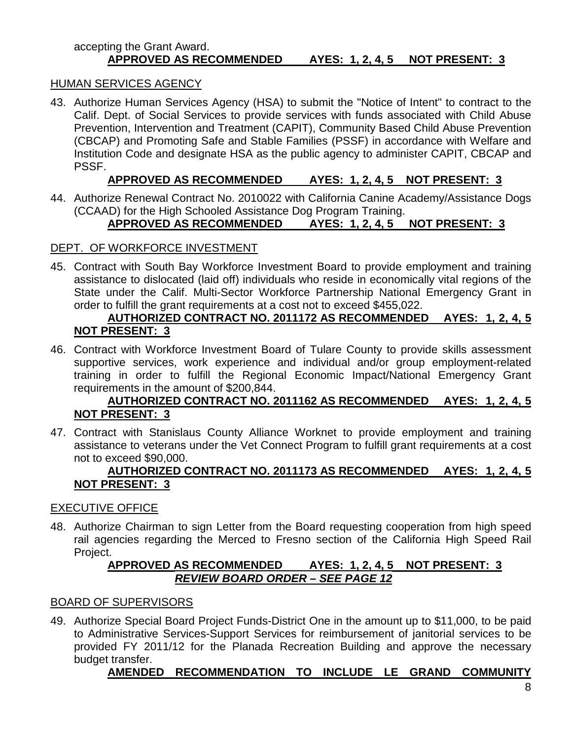#### accepting the Grant Award. **APPROVED AS RECOMMENDED AYES: 1, 2, 4, 5 NOT PRESENT: 3**

#### HUMAN SERVICES AGENCY

43. Authorize Human Services Agency (HSA) to submit the "Notice of Intent" to contract to the Calif. Dept. of Social Services to provide services with funds associated with Child Abuse Prevention, Intervention and Treatment (CAPIT), Community Based Child Abuse Prevention (CBCAP) and Promoting Safe and Stable Families (PSSF) in accordance with Welfare and Institution Code and designate HSA as the public agency to administer CAPIT, CBCAP and PSSF.

# **APPROVED AS RECOMMENDED AYES: 1, 2, 4, 5 NOT PRESENT: 3**

44. Authorize Renewal Contract No. 2010022 with California Canine Academy/Assistance Dogs (CCAAD) for the High Schooled Assistance Dog Program Training.

# **APPROVED AS RECOMMENDED AYES: 1, 2, 4, 5 NOT PRESENT: 3**

#### DEPT. OF WORKFORCE INVESTMENT

45. Contract with South Bay Workforce Investment Board to provide employment and training assistance to dislocated (laid off) individuals who reside in economically vital regions of the State under the Calif. Multi-Sector Workforce Partnership National Emergency Grant in order to fulfill the grant requirements at a cost not to exceed \$455,022.

# **AUTHORIZED CONTRACT NO. 2011172 AS RECOMMENDED AYES: 1, 2, 4, 5 NOT PRESENT: 3**

46. Contract with Workforce Investment Board of Tulare County to provide skills assessment supportive services, work experience and individual and/or group employment-related training in order to fulfill the Regional Economic Impact/National Emergency Grant requirements in the amount of \$200,844.

#### **AUTHORIZED CONTRACT NO. 2011162 AS RECOMMENDED AYES: 1, 2, 4, 5 NOT PRESENT: 3**

47. Contract with Stanislaus County Alliance Worknet to provide employment and training assistance to veterans under the Vet Connect Program to fulfill grant requirements at a cost not to exceed \$90,000.

#### **AUTHORIZED CONTRACT NO. 2011173 AS RECOMMENDED AYES: 1, 2, 4, 5 NOT PRESENT: 3**

#### EXECUTIVE OFFICE

48. Authorize Chairman to sign Letter from the Board requesting cooperation from high speed rail agencies regarding the Merced to Fresno section of the California High Speed Rail Project.

#### **APPROVED AS RECOMMENDED AYES: 1, 2, 4, 5 NOT PRESENT: 3** *REVIEW BOARD ORDER – SEE PAGE 12*

#### BOARD OF SUPERVISORS

49. Authorize Special Board Project Funds-District One in the amount up to \$11,000, to be paid to Administrative Services-Support Services for reimbursement of janitorial services to be provided FY 2011/12 for the Planada Recreation Building and approve the necessary budget transfer.

# **AMENDED RECOMMENDATION TO INCLUDE LE GRAND COMMUNITY**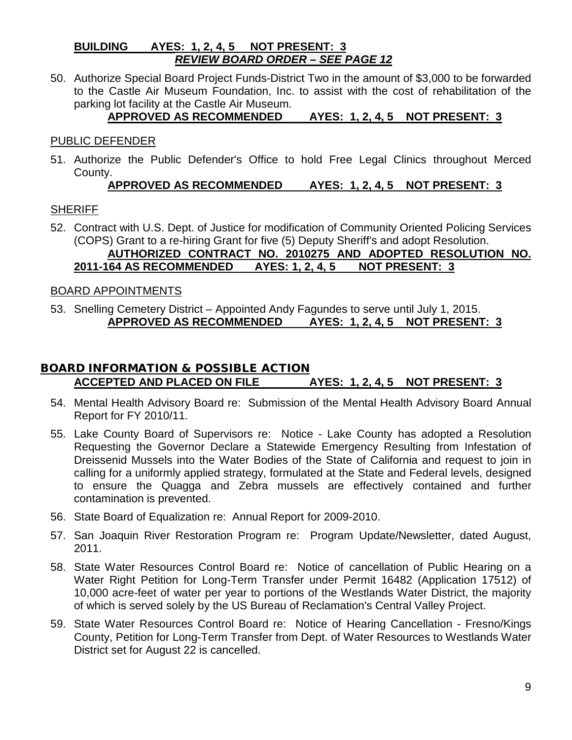#### **BUILDING AYES: 1, 2, 4, 5 NOT PRESENT: 3** *REVIEW BOARD ORDER – SEE PAGE 12*

50. Authorize Special Board Project Funds-District Two in the amount of \$3,000 to be forwarded to the Castle Air Museum Foundation, Inc. to assist with the cost of rehabilitation of the parking lot facility at the Castle Air Museum.

# **APPROVED AS RECOMMENDED AYES: 1, 2, 4, 5 NOT PRESENT: 3**

#### PUBLIC DEFENDER

51. Authorize the Public Defender's Office to hold Free Legal Clinics throughout Merced County.

# **APPROVED AS RECOMMENDED AYES: 1, 2, 4, 5 NOT PRESENT: 3**

# **SHERIFF**

52. Contract with U.S. Dept. of Justice for modification of Community Oriented Policing Services (COPS) Grant to a re-hiring Grant for five (5) Deputy Sheriff's and adopt Resolution. **AUTHORIZED CONTRACT NO. 2010275 AND ADOPTED RESOLUTION NO.** 

# **2011-164 AS RECOMMENDED AYES: 1, 2, 4, 5 NOT PRESENT: 3**

# BOARD APPOINTMENTS

53. Snelling Cemetery District – Appointed Andy Fagundes to serve until July 1, 2015. **APPROVED AS RECOMMENDED AYES: 1, 2, 4, 5 NOT PRESENT: 3**

# BOARD INFORMATION & POSSIBLE ACTION **ACCEPTED AND PLACED ON FILE AYES: 1, 2, 4, 5 NOT PRESENT: 3**

- 54. Mental Health Advisory Board re: Submission of the Mental Health Advisory Board Annual Report for FY 2010/11.
- 55. Lake County Board of Supervisors re: Notice Lake County has adopted a Resolution Requesting the Governor Declare a Statewide Emergency Resulting from Infestation of Dreissenid Mussels into the Water Bodies of the State of California and request to join in calling for a uniformly applied strategy, formulated at the State and Federal levels, designed to ensure the Quagga and Zebra mussels are effectively contained and further contamination is prevented.
- 56. State Board of Equalization re: Annual Report for 2009-2010.
- 57. San Joaquin River Restoration Program re: Program Update/Newsletter, dated August, 2011.
- 58. State Water Resources Control Board re: Notice of cancellation of Public Hearing on a Water Right Petition for Long-Term Transfer under Permit 16482 (Application 17512) of 10,000 acre-feet of water per year to portions of the Westlands Water District, the majority of which is served solely by the US Bureau of Reclamation's Central Valley Project.
- 59. State Water Resources Control Board re: Notice of Hearing Cancellation Fresno/Kings County, Petition for Long-Term Transfer from Dept. of Water Resources to Westlands Water District set for August 22 is cancelled.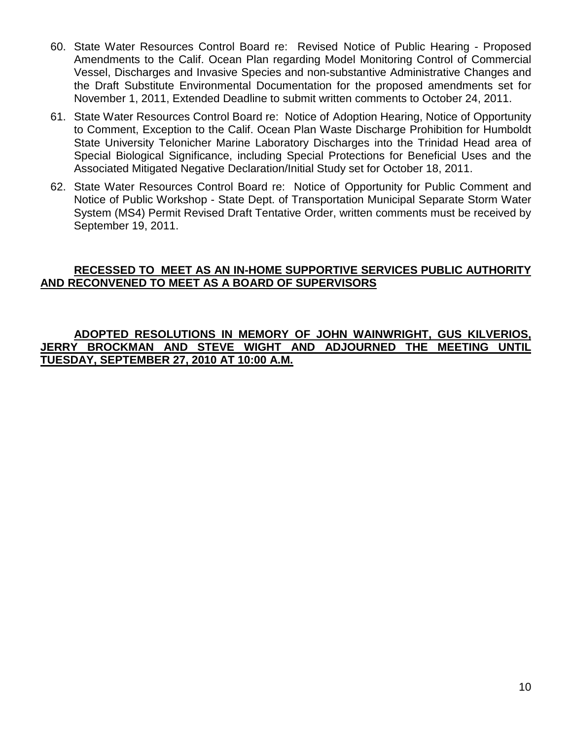- 60. State Water Resources Control Board re: Revised Notice of Public Hearing Proposed Amendments to the Calif. Ocean Plan regarding Model Monitoring Control of Commercial Vessel, Discharges and Invasive Species and non-substantive Administrative Changes and the Draft Substitute Environmental Documentation for the proposed amendments set for November 1, 2011, Extended Deadline to submit written comments to October 24, 2011.
- 61. State Water Resources Control Board re: Notice of Adoption Hearing, Notice of Opportunity to Comment, Exception to the Calif. Ocean Plan Waste Discharge Prohibition for Humboldt State University Telonicher Marine Laboratory Discharges into the Trinidad Head area of Special Biological Significance, including Special Protections for Beneficial Uses and the Associated Mitigated Negative Declaration/Initial Study set for October 18, 2011.
- 62. State Water Resources Control Board re: Notice of Opportunity for Public Comment and Notice of Public Workshop - State Dept. of Transportation Municipal Separate Storm Water System (MS4) Permit Revised Draft Tentative Order, written comments must be received by September 19, 2011.

#### **RECESSED TO MEET AS AN IN-HOME SUPPORTIVE SERVICES PUBLIC AUTHORITY AND RECONVENED TO MEET AS A BOARD OF SUPERVISORS**

#### **ADOPTED RESOLUTIONS IN MEMORY OF JOHN WAINWRIGHT, GUS KILVERIOS, JERRY BROCKMAN AND STEVE WIGHT AND ADJOURNED THE MEETING UNTIL TUESDAY, SEPTEMBER 27, 2010 AT 10:00 A.M.**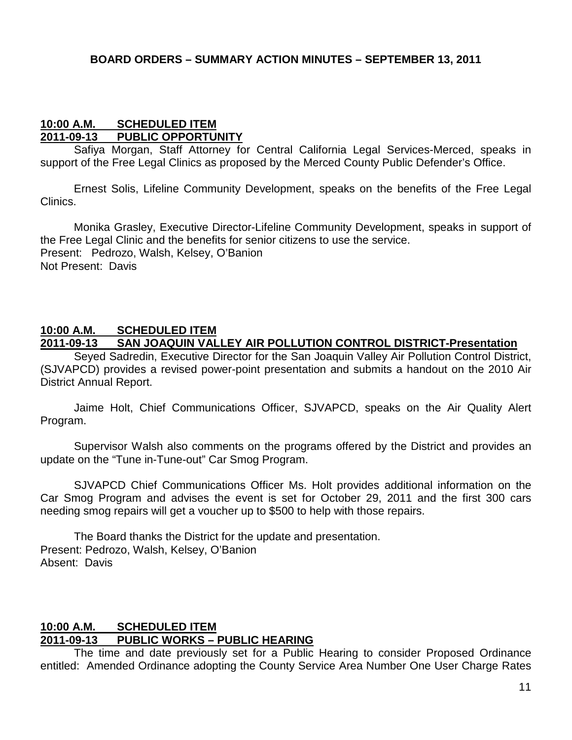#### **10:00 A.M. SCHEDULED ITEM 2011-09-13 PUBLIC OPPORTUNITY**

Safiya Morgan, Staff Attorney for Central California Legal Services-Merced, speaks in support of the Free Legal Clinics as proposed by the Merced County Public Defender's Office.

Ernest Solis, Lifeline Community Development, speaks on the benefits of the Free Legal Clinics.

Monika Grasley, Executive Director-Lifeline Community Development, speaks in support of the Free Legal Clinic and the benefits for senior citizens to use the service. Present: Pedrozo, Walsh, Kelsey, O'Banion Not Present: Davis

#### **10:00 A.M. SCHEDULED ITEM 2011-09-13 SAN JOAQUIN VALLEY AIR POLLUTION CONTROL DISTRICT-Presentation**

Seyed Sadredin, Executive Director for the San Joaquin Valley Air Pollution Control District, (SJVAPCD) provides a revised power-point presentation and submits a handout on the 2010 Air District Annual Report.

Jaime Holt, Chief Communications Officer, SJVAPCD, speaks on the Air Quality Alert Program.

Supervisor Walsh also comments on the programs offered by the District and provides an update on the "Tune in-Tune-out" Car Smog Program.

SJVAPCD Chief Communications Officer Ms. Holt provides additional information on the Car Smog Program and advises the event is set for October 29, 2011 and the first 300 cars needing smog repairs will get a voucher up to \$500 to help with those repairs.

The Board thanks the District for the update and presentation. Present: Pedrozo, Walsh, Kelsey, O'Banion Absent: Davis

#### **10:00 A.M. SCHEDULED ITEM 2011-09-13 PUBLIC WORKS – PUBLIC HEARING**

The time and date previously set for a Public Hearing to consider Proposed Ordinance entitled: Amended Ordinance adopting the County Service Area Number One User Charge Rates